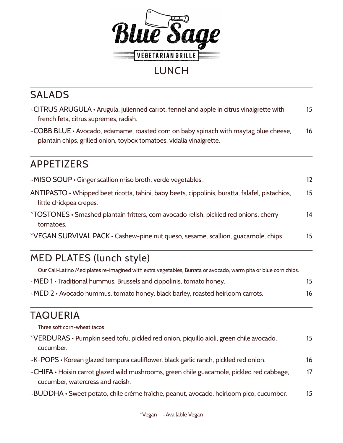

### LUNCH

## SALADS

| ~CITRUS ARUGULA $\cdot$ Arugula, julienned carrot, fennel and apple in citrus vinaigrette with<br>french feta, citrus supremes, radish.                      |    |  |  |  |
|--------------------------------------------------------------------------------------------------------------------------------------------------------------|----|--|--|--|
| ~COBB BLUE • Avocado, edamame, roasted corn on baby spinach with maytag blue cheese,<br>plantain chips, grilled onion, toybox tomatoes, vidalia vinaigrette. |    |  |  |  |
| APPETIZERS                                                                                                                                                   |    |  |  |  |
| $\sim$ MISO SOUP $\cdot$ Ginger scallion miso broth, verde vegetables.                                                                                       | 12 |  |  |  |
| $ANTIPASTO \cdot$ Whipped beet ricotta, tahini, baby beets, cippolinis, buratta, falafel, pistachios,<br>little chickpea crepes.                             | 15 |  |  |  |
| *TOSTONES • Smashed plantain fritters, corn avocado relish, pickled red onions, cherry<br>tomatoes.                                                          | 14 |  |  |  |
| *VEGAN SURVIVAL PACK • Cashew-pine nut queso, sesame, scallion, guacamole, chips                                                                             | 15 |  |  |  |

## MED PLATES (lunch style)

| Our Cali-Latino Med plates re-imagined with extra vegetables, Burrata or avocado, warm pita or blue corn chips. |    |
|-----------------------------------------------------------------------------------------------------------------|----|
| $\sim$ MED 1 • Traditional hummus, Brussels and cippolinis, tomato honey.                                       | 15 |
| ~MED 2 • Avocado hummus, tomato honey, black barley, roasted heirloom carrots.                                  | 16 |

#### TAQUERIA

Three soft corn-wheat tacos

| *VERDURAS • Pumpkin seed tofu, pickled red onion, piquillo aioli, green chile avocado, |  |
|----------------------------------------------------------------------------------------|--|
| cucumber.                                                                              |  |

- ~K-POPS Korean glazed tempura cauliflower, black garlic ranch, pickled red onion. 16
- ~CHIFA Hoisin carrot glazed wild mushrooms, green chile guacamole, pickled red cabbage, 17 cucumber, watercress and radish.
- ~BUDDHA Sweet potato, chile crème fraîche, peanut, avocado, heirloom pico, cucumber. 15